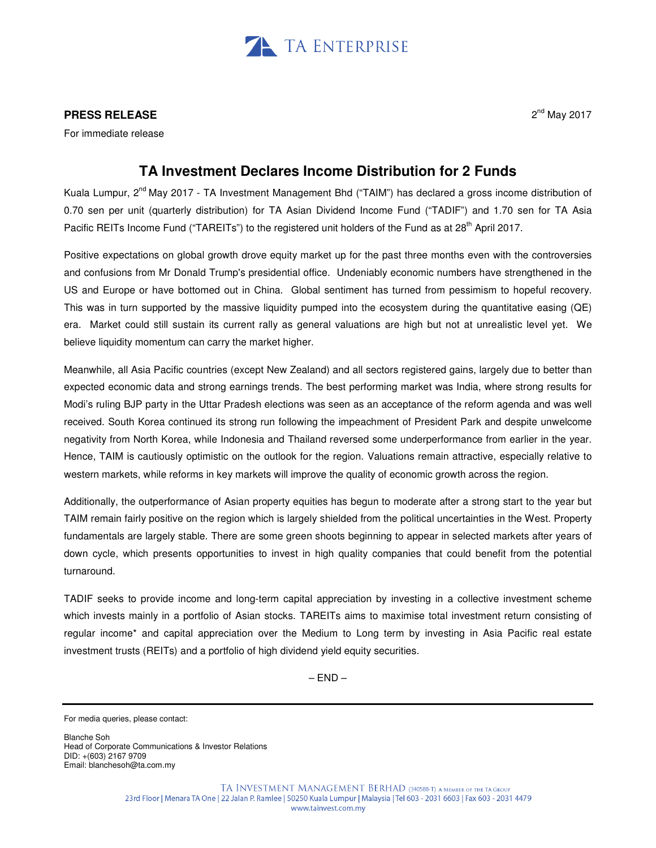

## **PRESS RELEASE**

For immediate release

## **TA Investment Declares Income Distribution for 2 Funds**

Kuala Lumpur, 2<sup>nd</sup> May 2017 - TA Investment Management Bhd ("TAIM") has declared a gross income distribution of 0.70 sen per unit (quarterly distribution) for TA Asian Dividend Income Fund ("TADIF") and 1.70 sen for TA Asia Pacific REITs Income Fund ("TAREITs") to the registered unit holders of the Fund as at 28<sup>th</sup> April 2017.

Positive expectations on global growth drove equity market up for the past three months even with the controversies and confusions from Mr Donald Trump's presidential office. Undeniably economic numbers have strengthened in the US and Europe or have bottomed out in China. Global sentiment has turned from pessimism to hopeful recovery. This was in turn supported by the massive liquidity pumped into the ecosystem during the quantitative easing (QE) era. Market could still sustain its current rally as general valuations are high but not at unrealistic level yet. We believe liquidity momentum can carry the market higher.

Meanwhile, all Asia Pacific countries (except New Zealand) and all sectors registered gains, largely due to better than expected economic data and strong earnings trends. The best performing market was India, where strong results for Modi's ruling BJP party in the Uttar Pradesh elections was seen as an acceptance of the reform agenda and was well received. South Korea continued its strong run following the impeachment of President Park and despite unwelcome negativity from North Korea, while Indonesia and Thailand reversed some underperformance from earlier in the year. Hence, TAIM is cautiously optimistic on the outlook for the region. Valuations remain attractive, especially relative to western markets, while reforms in key markets will improve the quality of economic growth across the region.

Additionally, the outperformance of Asian property equities has begun to moderate after a strong start to the year but TAIM remain fairly positive on the region which is largely shielded from the political uncertainties in the West. Property fundamentals are largely stable. There are some green shoots beginning to appear in selected markets after years of down cycle, which presents opportunities to invest in high quality companies that could benefit from the potential turnaround.

TADIF seeks to provide income and long-term capital appreciation by investing in a collective investment scheme which invests mainly in a portfolio of Asian stocks. TAREITs aims to maximise total investment return consisting of regular income\* and capital appreciation over the Medium to Long term by investing in Asia Pacific real estate investment trusts (REITs) and a portfolio of high dividend yield equity securities.

 $-$  END  $-$ 

Blanche Soh Head of Corporate Communications & Investor Relations DID: +(603) 2167 9709 Email: blanchesoh@ta.com.my

For media queries, please contact: